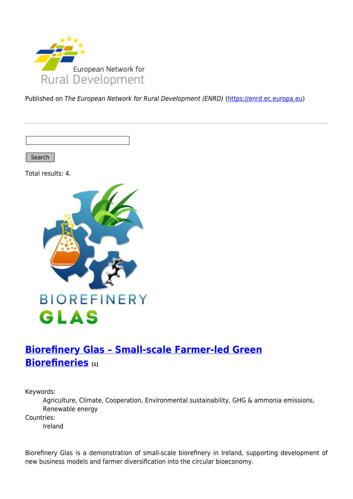

Published on The European Network for Rural Development (ENRD) [\(https://enrd.ec.europa.eu](https://enrd.ec.europa.eu))

Search

Total results: 4.



# **[Biorefinery Glas – Small-scale Farmer-led Green](https://enrd.ec.europa.eu/projects-practice/biorefinery-glas-small-scale-farmer-led-green-biorefineries_en) [Biorefineries](https://enrd.ec.europa.eu/projects-practice/biorefinery-glas-small-scale-farmer-led-green-biorefineries_en) [1]**

Keywords:

Agriculture, Climate, Cooperation, Environmental sustainability, GHG & ammonia emissions, Renewable energy

Countries:

Ireland

Biorefinery Glas is a demonstration of small-scale biorefinery in Ireland, supporting development of new business models and farmer diversification into the circular bioeconomy.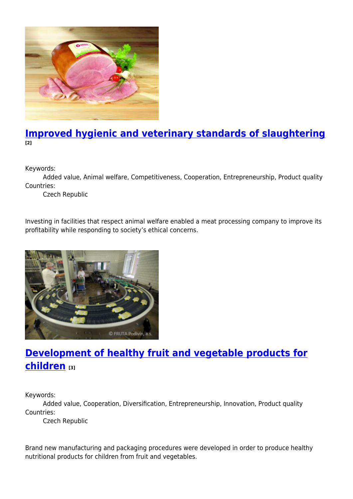

### **[Improved hygienic and veterinary standards of slaughtering](https://enrd.ec.europa.eu/projects-practice/improved-hygienic-and-veterinary-standards-slaughtering_en) [2]**

Keywords:

Added value, Animal welfare, Competitiveness, Cooperation, Entrepreneurship, Product quality Countries:

Czech Republic

Investing in facilities that respect animal welfare enabled a meat processing company to improve its profitability while responding to society's ethical concerns.



# **[Development of healthy fruit and vegetable products for](https://enrd.ec.europa.eu/projects-practice/development-healthy-fruit-and-vegetable-products-children_en) [children](https://enrd.ec.europa.eu/projects-practice/development-healthy-fruit-and-vegetable-products-children_en) [3]**

Keywords:

Added value, Cooperation, Diversification, Entrepreneurship, Innovation, Product quality Countries:

Czech Republic

Brand new manufacturing and packaging procedures were developed in order to produce healthy nutritional products for children from fruit and vegetables.